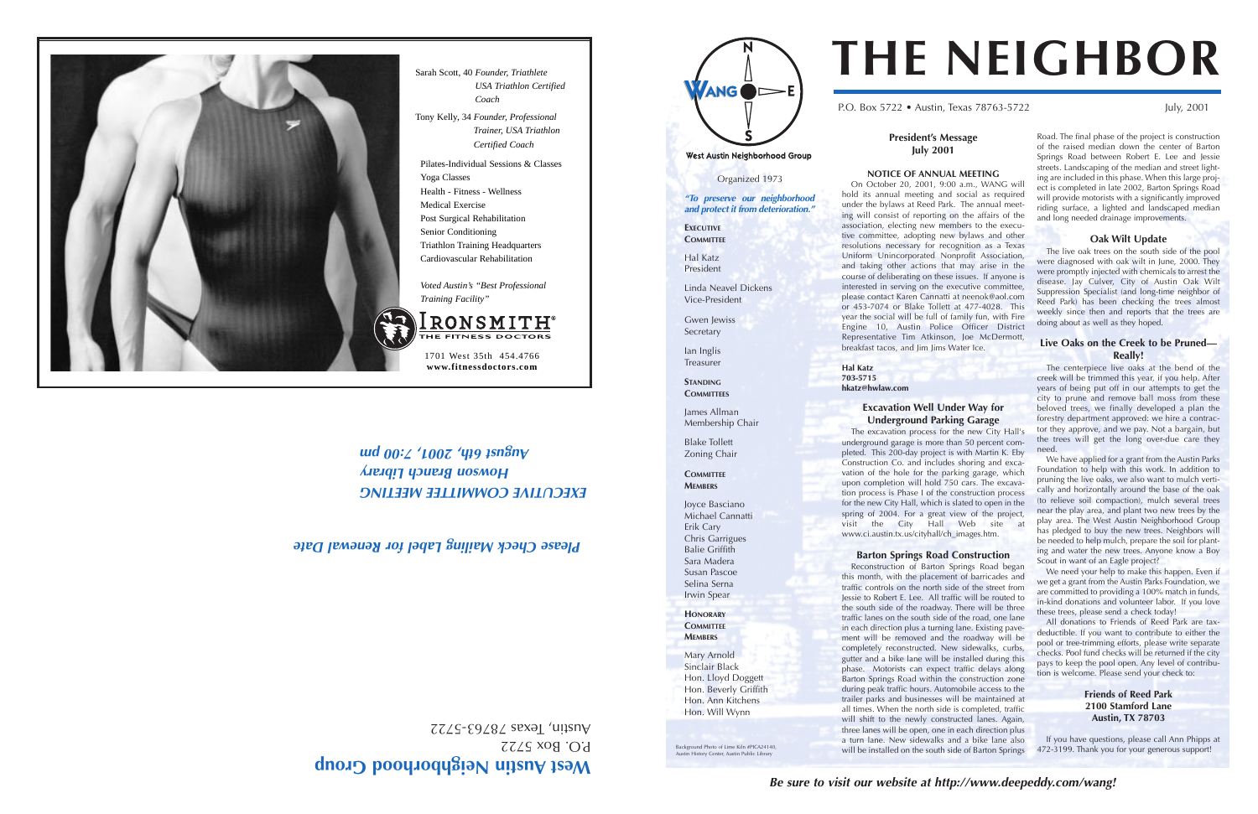**Be sure to visit our website at http://www.deepeddy.com/wang!**

#### **President's Message July 2001**

#### **NOTICE OF ANNUAL MEETING**

On October 20, 2001, 9:00 a.m., WANG will hold its annual meeting and social as required under the bylaws at Reed Park. The annual meeting will consist of reporting on the affairs of the association, electing new members to the executive committee, adopting new bylaws and other resolutions necessary for recognition as a Texas Uniform Unincorporated Nonprofit Association, and taking other actions that may arise in the course of deliberating on these issues. If anyone is interested in serving on the executive committee, please contact Karen Cannatti at neenok@aol.com or 453-7074 or Blake Tollett at 477-4028. This year the social will be full of family fun, with Fire Engine 10, Austin Police Officer District Representative Tim Atkinson, Joe McDermott, breakfast tacos, and Jim Jims Water Ice.

**Hal Katz 703-5715**

**hkatz@hwlaw.com**

## **Excavation Well Under Way for**

**Underground Parking Garage** The excavation process for the new City Hall's underground garage is more than 50 percent completed. This 200-day project is with Martin K. Eby Construction Co. and includes shoring and excavation of the hole for the parking garage, which upon completion will hold 750 cars. The excavation process is Phase I of the construction process for the new City Hall, which is slated to open in the spring of 2004. For a great view of the project, visit the City Hall Web site at www.ci.austin.tx.us/cityhall/ch\_images.htm.

#### **Barton Springs Road Construction**

Reconstruction of Barton Springs Road began this month, with the placement of barricades and traffic controls on the north side of the street from Jessie to Robert E. Lee. All traffic will be routed to the south side of the roadway. There will be three traffic lanes on the south side of the road, one lane in each direction plus a turning lane. Existing pavement will be removed and the roadway will be completely reconstructed. New sidewalks, curbs, gutter and a bike lane will be installed during this phase. Motorists can expect traffic delays along Barton Springs Road within the construction zone during peak traffic hours. Automobile access to the trailer parks and businesses will be maintained at all times. When the north side is completed, traffic will shift to the newly constructed lanes. Again, three lanes will be open, one in each direction plus a turn lane. New sidewalks and a bike lane also will be installed on the south side of Barton Springs

P.O. Box 5722 • Austin, Texas 78763-5722 July, 2001

#### West Austin Neighborhood Group

# West Austin Neighborhood Group

P.O. Box 5722 Austin, Iexas 78763-5722

## **EXECUTIVE COMMITTEE MEETING Howson Branch Library**  $\mu$  and  $\eta$  o:  $\angle$   $\prime$   $\mu$  o  $\alpha$   $\angle$   $\prime$   $\sim$   $\sqrt{4}$   $\eta$   $\sim$   $\sqrt{4}$   $\sqrt{4}$   $\sqrt{4}$   $\sqrt{4}$   $\sqrt{4}$   $\sqrt{4}$   $\sqrt{4}$   $\sqrt{4}$   $\sqrt{4}$   $\sqrt{4}$   $\sqrt{4}$   $\sqrt{4}$   $\sqrt{4}$   $\sqrt{4}$   $\sqrt{4}$   $\sqrt{4}$   $\sqrt{4}$   $\sqrt{4}$   $\sqrt{4$

Road. The final phase of the project is construction of the raised median down the center of Barton Springs Road between Robert E. Lee and Jessie streets. Landscaping of the median and street lighting are included in this phase. When this large project is completed in late 2002, Barton Springs Road will provide motorists with a significantly improved riding surface, a lighted and landscaped median and long needed drainage improvements.

Gwen *lewiss* Secretary







**STANDING COMMITTEES** 

#### **Oak Wilt Update**

Background Photo of Lime Kiln #PICA24140, History Center, Austin Public Librar

The live oak trees on the south side of the pool were diagnosed with oak wilt in June, 2000. They were promptly injected with chemicals to arrest the disease. Jay Culver, City of Austin Oak Wilt Suppression Specialist (and long-time neighbor of Reed Park) has been checking the trees almost weekly since then and reports that the trees are doing about as well as they hoped.

#### **Live Oaks on the Creek to be Pruned— Really!**

The centerpiece live oaks at the bend of the creek will be trimmed this year, if you help. After years of being put off in our attempts to get the city to prune and remove ball moss from these beloved trees, we finally developed a plan the forestry department approved: we hire a contractor they approve, and we pay. Not a bargain, but the trees will get the long over-due care they need.

We have applied for a grant from the Austin Parks Foundation to help with this work. In addition to pruning the live oaks, we also want to mulch vertically and horizontally around the base of the oak (to relieve soil compaction), mulch several trees near the play area, and plant two new trees by the play area. The West Austin Neighborhood Group has pledged to buy the new trees. Neighbors will be needed to help mulch, prepare the soil for planting and water the new trees. Anyone know a Boy Scout in want of an Eagle project?

We need your help to make this happen. Even if we get a grant from the Austin Parks Foundation, we are committed to providing a 100% match in funds, in-kind donations and volunteer labor. If you love these trees, please send a check today!

All donations to Friends of Reed Park are taxdeductible. If you want to contribute to either the pool or tree-trimming efforts, please write separate checks. Pool fund checks will be returned if the city pays to keep the pool open. Any level of contribution is welcome. Please send your check to:

#### **Friends of Reed Park 2100 Stamford Lane Austin, TX 78703**

If you have questions, please call Ann Phipps at 472-3199. Thank you for your generous support!

# **THE NEIGHBOR**

Sarah Scott, 40 *Founder, Triathlete*

*USA Triathlon Certified*

*Coach*  Tony Kelly, 34 *Founder, Professional*

> *Trainer, USA Triathlon Certified Coach*

1701 West 35th 454.4766 **www.fitnessdoctors.com**

Pilates-Individual Sessions & Classes

Yoga Classes

Health - Fitness - Wellness

Medical Exercise

RONSMITH

Post Surgical Rehabilitation Senior Conditioning

Triathlon Training Headquarters Cardiovascular Rehabilitation

*Voted Austin's "Best Professional*

*Training Facility"* 

Organized 1973

**"To preserve our neighborhood and protect it from deterioration."**

**EXECUTIVE COMMITTEE**

Hal Katz President

Linda Neavel Dickens Vice-President

Ian Inglis Treasurer

James Allman Membership Chair

Blake Tollett Zoning Chair

**COMMITTEE MEMBERS**

Joyce Basciano Michael Cannatti Erik Cary Chris Garrigues Balie Griffith Sara Madera Susan Pascoe Selina Serna Irwin Spear **HONORARY COMMITTEE MEMBERS**

Mary Arnold Sinclair Black Hon. Lloyd Doggett Hon. Beverly Griffith Hon. Ann Kitchens Hon. Will Wynn

### **Please Check Mailing Label for Renewal Date**